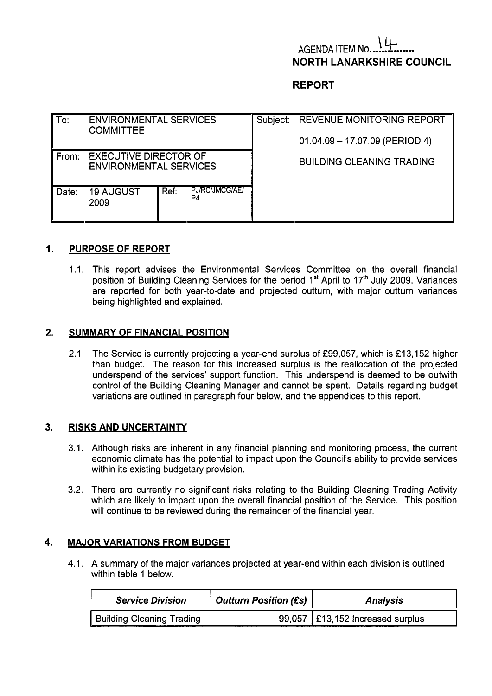# **AGENDA ITEM No. NORTH LANARKSHIRE COUNCIL**

## **REPORT**

| To:   | <b>ENVIRONMENTAL SERVICES</b><br><b>COMMITTEE</b>             |      |                      | Subject: REVENUE MONITORING REPORT |  |  |  |
|-------|---------------------------------------------------------------|------|----------------------|------------------------------------|--|--|--|
|       |                                                               |      |                      | $01.04.09 - 17.07.09$ (PERIOD 4)   |  |  |  |
| From: | <b>EXECUTIVE DIRECTOR OF</b><br><b>ENVIRONMENTAL SERVICES</b> |      |                      | <b>BUILDING CLEANING TRADING</b>   |  |  |  |
| Date: | <b>19 AUGUST</b><br>2009                                      | Ref: | PJ/RC/JMCG/AE/<br>P4 |                                    |  |  |  |

#### **1. PURPOSE OF REPORT**

1.1. This report advises the Environmental Services Committee on the overall financial position of Building Cleaning Services for the period 1<sup>st</sup> April to 17<sup>th</sup> July 2009. Variances are reported for both year-to-date and projected outturn, with major outturn variances being highlighted and explained.

#### **2. SUMMARY OF FINANCIAL POSITION**

2.1. The Service is currently projecting a year-end surplus of £99,057, which is £13,152 higher than budget. The reason for this increased surplus is the reallocation of the projected underspend of the services' support function. This underspend is deemed to be outwith control of the Building Cleaning Manager and cannot be spent. Details regarding budget variations are outlined in paragraph four below, and the appendices to this report.

#### **3. RISKS AND UNCERTAINTY**

- 3.1. Although risks are inherent in any financial planning and monitoring process, the current economic climate has the potential to impact upon the Council's ability to provide services within its existing budgetary provision.
- 3.2. There are currently no significant risks relating to the Building Cleaning Trading Activity which are likely to impact upon the overall financial position of the Service. This position will continue to be reviewed during the remainder of the financial year.

#### **4. MAJOR VARIATIONS FROM BUDGET**

4.1. A summary of the major variances projected at year-end within each division is outlined within table 1 below.

| <b>Service Division</b>          | <b>Outturn Position (£s)</b> | Analysis                           |  |  |
|----------------------------------|------------------------------|------------------------------------|--|--|
| <b>Building Cleaning Trading</b> |                              | 99,057   £13,152 Increased surplus |  |  |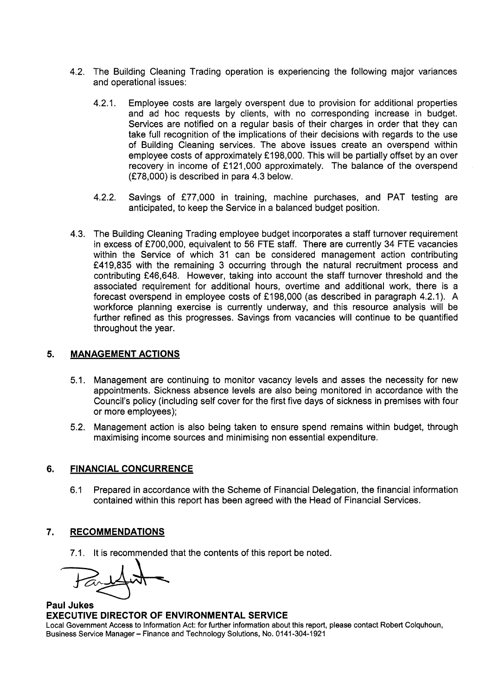- 4.2. The Building Cleaning Trading operation is experiencing the following major variances and operational issues:
	- 4.2.1 Employee costs are largely overspent due to provision for additional properties and ad hoc requests by clients, with no corresponding increase in budget. Services are notified on a regular basis of their charges in order that they can take full recognition of the implications of their decisions with regards to the use of Building Cleaning services. The above issues create an overspend within employee costs of approximately £198,000. This will be partially offset by an over recovery in income of £121,000 approximately. The balance of the overspend (f78,OOO) is described in para 4.3 below.
	- 4.2.2. Savings of £77,000 in training, machine purchases, and PAT testing are anticipated, to keep the Service in a balanced budget position.
- 4.3. The Building Cleaning Trading employee budget incorporates a staff turnover requirement in excess of £700,000, equivalent to 56 FTE staff. There are currently 34 FTE vacancies within the Service of which 31 can be considered management action contributing f419,835 with the remaining 3 occurring through the natural recruitment process and contributing £46,648. However, taking into account the staff turnover threshold and the associated requirement for additional hours, overtime and additional work, there is a forecast overspend in employee costs of f198,OOO (as described in paragraph 4.2.1). **A**  workforce planning exercise is currently underway, and this resource analysis will be further refined as this progresses. Savings from vacancies will continue to be quantified throughout the year.

## **5. MANAGEMENT ACTIONS**

- 5.1. Management are continuing to monitor vacancy levels and asses the necessity for new appointments. Sickness absence levels are also being monitored in accordance with the Council's policy (including self cover for the first five days of sickness in premises with four or more employees);
- 5.2. Management action is also being taken to ensure spend remains within budget, through maximising income sources and minimising non essential expenditure.

## **6. FINANCIAL CONCURRENCE**

6.1 Prepared in accordance with the Scheme of Financial Delegation, the financial information contained within this report has been agreed with the Head of Financial Services.

## **7. RECOMMENDATIONS**

7.1. It is recommended that the contents of this report be noted.

### **Paul Jukes EXECUTIVE DIRECTOR OF ENVIRONMENTAL SERVICE**

Local Government Access to Information Act: for further information about this report, please contact Robert Colquhoun, Business Service Manager - Finance and Technology Solutions, **No.** 0141 -304-1 921